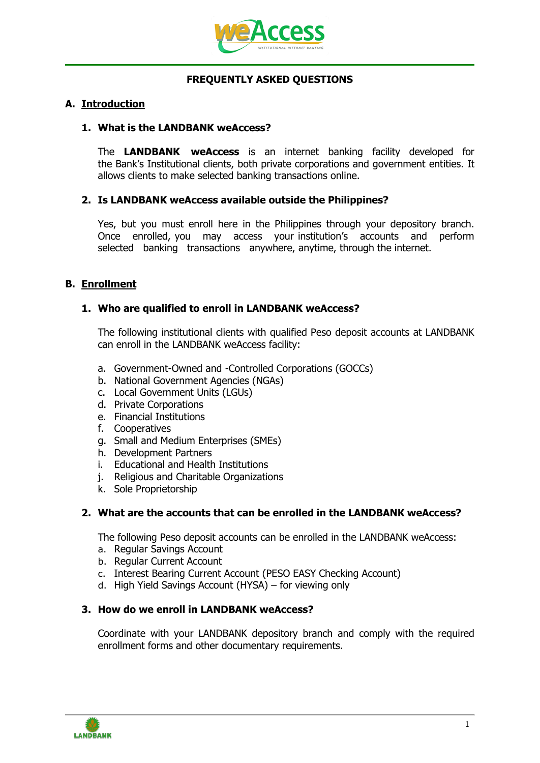

# **FREQUENTLY ASKED QUESTIONS**

## **A. Introduction**

#### **1. What is the LANDBANK weAccess?**

The **LANDBANK weAccess** is an internet banking facility developed for the Bank's Institutional clients, both private corporations and government entities. It allows clients to make selected banking transactions online.

## **2. Is LANDBANK weAccess available outside the Philippines?**

Yes, but you must enroll here in the Philippines through your depository branch. Once enrolled, you may access your institution's accounts and perform selected banking transactions anywhere, anytime, through the internet.

# **B. Enrollment**

## **1. Who are qualified to enroll in LANDBANK weAccess?**

The following institutional clients with qualified Peso deposit accounts at LANDBANK can enroll in the LANDBANK weAccess facility:

- a. Government-Owned and -Controlled Corporations (GOCCs)
- b. National Government Agencies (NGAs)
- c. Local Government Units (LGUs)
- d. Private Corporations
- e. Financial Institutions
- f. Cooperatives
- g. Small and Medium Enterprises (SMEs)
- h. Development Partners
- i. Educational and Health Institutions
- j. Religious and Charitable Organizations
- k. Sole Proprietorship

# **2. What are the accounts that can be enrolled in the LANDBANK weAccess?**

The following Peso deposit accounts can be enrolled in the LANDBANK weAccess:

- a. Regular Savings Account
- b. Regular Current Account
- c. Interest Bearing Current Account (PESO EASY Checking Account)
- d. High Yield Savings Account (HYSA) for viewing only

#### **3. How do we enroll in LANDBANK weAccess?**

Coordinate with your LANDBANK depository branch and comply with the required enrollment forms and other documentary requirements.

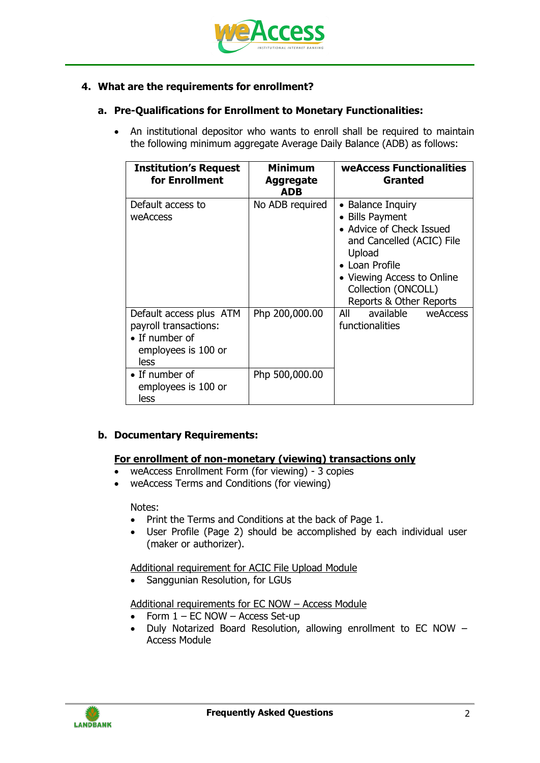

# **4. What are the requirements for enrollment?**

# **a. Pre-Qualifications for Enrollment to Monetary Functionalities:**

• An institutional depositor who wants to enroll shall be required to maintain the following minimum aggregate Average Daily Balance (ADB) as follows:

| <b>Institution's Request</b><br>for Enrollment                                                            | <b>Minimum</b><br><b>Aggregate</b><br><b>ADB</b> | <b>weAccess Functionalities</b><br>Granted                                                                                                                                                                |  |
|-----------------------------------------------------------------------------------------------------------|--------------------------------------------------|-----------------------------------------------------------------------------------------------------------------------------------------------------------------------------------------------------------|--|
| Default access to<br>weAccess                                                                             | No ADB required                                  | • Balance Inquiry<br>• Bills Payment<br>• Advice of Check Issued<br>and Cancelled (ACIC) File<br>Upload<br>• Loan Profile<br>• Viewing Access to Online<br>Collection (ONCOLL)<br>Reports & Other Reports |  |
| Default access plus ATM<br>payroll transactions:<br>$\bullet$ If number of<br>employees is 100 or<br>less | Php 200,000.00                                   | available<br>All<br>weAccess<br>functionalities                                                                                                                                                           |  |
| $\bullet$ If number of<br>employees is 100 or<br>less                                                     | Php 500,000.00                                   |                                                                                                                                                                                                           |  |

# **b. Documentary Requirements:**

# **For enrollment of non-monetary (viewing) transactions only**

- weAccess Enrollment Form (for viewing) 3 copies
- weAccess Terms and Conditions (for viewing)

Notes:

- Print the Terms and Conditions at the back of Page 1.
- User Profile (Page 2) should be accomplished by each individual user (maker or authorizer).

Additional requirement for ACIC File Upload Module

• Sanggunian Resolution, for LGUs

Additional requirements for EC NOW – Access Module

- Form  $1 EC$  NOW Access Set-up
- Duly Notarized Board Resolution, allowing enrollment to EC NOW -Access Module

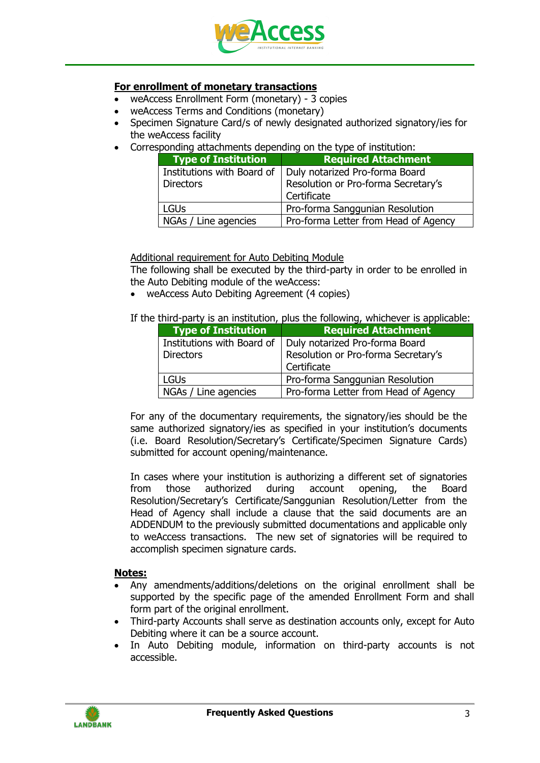

## **For enrollment of monetary transactions**

- weAccess Enrollment Form (monetary) 3 copies
- weAccess Terms and Conditions (monetary)
- Specimen Signature Card/s of newly designated authorized signatory/ies for the weAccess facility
- Corresponding attachments depending on the type of institution:

| <b>Type of Institution</b> | <b>Required Attachment</b>           |
|----------------------------|--------------------------------------|
| Institutions with Board of | Duly notarized Pro-forma Board       |
| <b>Directors</b>           | Resolution or Pro-forma Secretary's  |
|                            | Certificate                          |
| <b>LGUs</b>                | Pro-forma Sanggunian Resolution      |
| NGAs / Line agencies       | Pro-forma Letter from Head of Agency |

Additional requirement for Auto Debiting Module

The following shall be executed by the third-party in order to be enrolled in the Auto Debiting module of the weAccess:

weAccess Auto Debiting Agreement (4 copies)

If the third-party is an institution, plus the following, whichever is applicable:

| <b>Type of Institution</b> | <b>Required Attachment</b>                                  |  |
|----------------------------|-------------------------------------------------------------|--|
|                            | Institutions with Board of   Duly notarized Pro-forma Board |  |
| <b>Directors</b>           | Resolution or Pro-forma Secretary's                         |  |
|                            | Certificate                                                 |  |
| <b>LGUs</b>                | Pro-forma Sanggunian Resolution                             |  |
| NGAs / Line agencies       | Pro-forma Letter from Head of Agency                        |  |

For any of the documentary requirements, the signatory/ies should be the same authorized signatory/ies as specified in your institution's documents (i.e. Board Resolution/Secretary's Certificate/Specimen Signature Cards) submitted for account opening/maintenance.

In cases where your institution is authorizing a different set of signatories from those authorized during account opening, the Board Resolution/Secretary's Certificate/Sanggunian Resolution/Letter from the Head of Agency shall include a clause that the said documents are an ADDENDUM to the previously submitted documentations and applicable only to weAccess transactions. The new set of signatories will be required to accomplish specimen signature cards.

#### **Notes:**

- Any amendments/additions/deletions on the original enrollment shall be supported by the specific page of the amended Enrollment Form and shall form part of the original enrollment.
- Third-party Accounts shall serve as destination accounts only, except for Auto Debiting where it can be a source account.
- In Auto Debiting module, information on third-party accounts is not accessible.

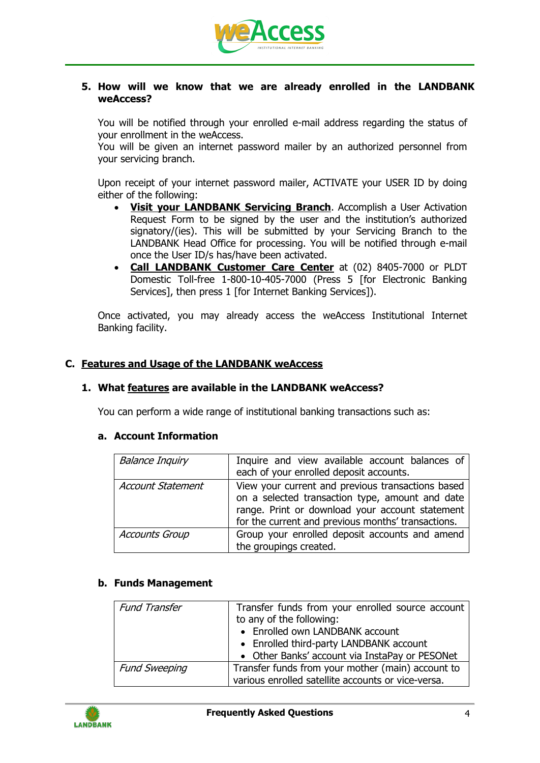

## **5. How will we know that we are already enrolled in the LANDBANK weAccess?**

You will be notified through your enrolled e-mail address regarding the status of your enrollment in the weAccess.

You will be given an internet password mailer by an authorized personnel from your servicing branch.

Upon receipt of your internet password mailer, ACTIVATE your USER ID by doing either of the following:

- **Visit your LANDBANK Servicing Branch**. Accomplish a User Activation Request Form to be signed by the user and the institution's authorized signatory/(ies). This will be submitted by your Servicing Branch to the LANDBANK Head Office for processing. You will be notified through e-mail once the User ID/s has/have been activated.
- **Call LANDBANK Customer Care Center** at (02) 8405-7000 or PLDT Domestic Toll-free 1-800-10-405-7000 (Press 5 [for Electronic Banking Services], then press 1 [for Internet Banking Services]).

Once activated, you may already access the weAccess Institutional Internet Banking facility.

## **C. Features and Usage of the LANDBANK weAccess**

#### **1. What features are available in the LANDBANK weAccess?**

You can perform a wide range of institutional banking transactions such as:

#### **a. Account Information**

| <b>Balance Inquiry</b>   | Inquire and view available account balances of<br>each of your enrolled deposit accounts.                                                                                                                     |  |  |
|--------------------------|---------------------------------------------------------------------------------------------------------------------------------------------------------------------------------------------------------------|--|--|
| <b>Account Statement</b> | View your current and previous transactions based<br>on a selected transaction type, amount and date<br>range. Print or download your account statement<br>for the current and previous months' transactions. |  |  |
| <b>Accounts Group</b>    | Group your enrolled deposit accounts and amend<br>the groupings created.                                                                                                                                      |  |  |

#### **b. Funds Management**

| <b>Fund Transfer</b> | Transfer funds from your enrolled source account   |  |  |
|----------------------|----------------------------------------------------|--|--|
|                      | to any of the following:                           |  |  |
|                      | • Enrolled own LANDBANK account                    |  |  |
|                      | • Enrolled third-party LANDBANK account            |  |  |
|                      | • Other Banks' account via InstaPay or PESONet     |  |  |
| <b>Fund Sweeping</b> | Transfer funds from your mother (main) account to  |  |  |
|                      | various enrolled satellite accounts or vice-versa. |  |  |

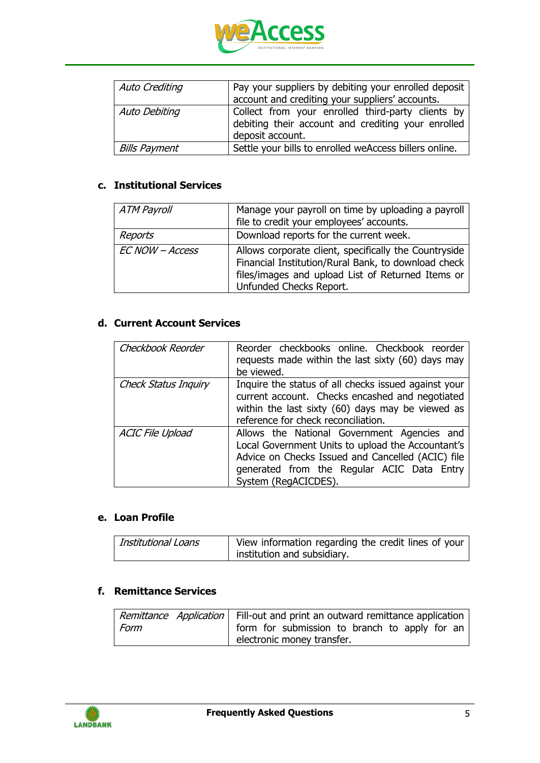

| Auto Crediting       | Pay your suppliers by debiting your enrolled deposit<br>account and crediting your suppliers' accounts.                     |  |
|----------------------|-----------------------------------------------------------------------------------------------------------------------------|--|
| Auto Debiting        | Collect from your enrolled third-party clients by<br>debiting their account and crediting your enrolled<br>deposit account. |  |
| <b>Bills Payment</b> | Settle your bills to enrolled weAccess billers online.                                                                      |  |

# **c. Institutional Services**

| <b>ATM Payroll</b> | Manage your payroll on time by uploading a payroll<br>file to credit your employees' accounts.                                                                                               |
|--------------------|----------------------------------------------------------------------------------------------------------------------------------------------------------------------------------------------|
| Reports            | Download reports for the current week.                                                                                                                                                       |
| EC NOW - Access    | Allows corporate client, specifically the Countryside<br>Financial Institution/Rural Bank, to download check<br>files/images and upload List of Returned Items or<br>Unfunded Checks Report. |

# **d. Current Account Services**

| Checkbook Reorder           | Reorder checkbooks online. Checkbook reorder<br>requests made within the last sixty (60) days may<br>be viewed.                                                                                                             |
|-----------------------------|-----------------------------------------------------------------------------------------------------------------------------------------------------------------------------------------------------------------------------|
| <b>Check Status Inquiry</b> | Inquire the status of all checks issued against your<br>current account. Checks encashed and negotiated<br>within the last sixty (60) days may be viewed as<br>reference for check reconciliation.                          |
| <b>ACIC File Upload</b>     | Allows the National Government Agencies and<br>Local Government Units to upload the Accountant's<br>Advice on Checks Issued and Cancelled (ACIC) file<br>generated from the Regular ACIC Data Entry<br>System (RegACICDES). |

#### **e. Loan Profile**

| <b>Institutional Loans</b> | View information regarding the credit lines of your |
|----------------------------|-----------------------------------------------------|
|                            | institution and subsidiary.                         |

# **f. Remittance Services**

|      | Remittance Application   Fill-out and print an outward remittance application |  |  |
|------|-------------------------------------------------------------------------------|--|--|
| Form | form for submission to branch to apply for an                                 |  |  |
|      | electronic money transfer.                                                    |  |  |

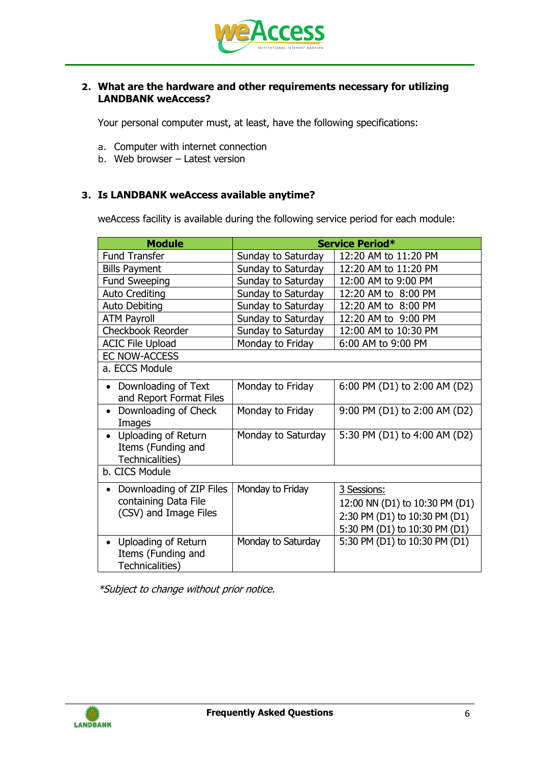

## **2. What are the hardware and other requirements necessary for utilizing LANDBANK weAccess?**

Your personal computer must, at least, have the following specifications:

- a. Computer with internet connection
- b. Web browser Latest version

## **3. Is LANDBANK weAccess available anytime?**

weAccess facility is available during the following service period for each module:

| <b>Module</b>                                                                    | Service Period*    |                                |  |  |
|----------------------------------------------------------------------------------|--------------------|--------------------------------|--|--|
| <b>Fund Transfer</b>                                                             | Sunday to Saturday | 12:20 AM to 11:20 PM           |  |  |
| <b>Bills Payment</b>                                                             | Sunday to Saturday | 12:20 AM to 11:20 PM           |  |  |
| <b>Fund Sweeping</b>                                                             | Sunday to Saturday | 12:00 AM to 9:00 PM            |  |  |
| <b>Auto Crediting</b>                                                            | Sunday to Saturday | 12:20 AM to 8:00 PM            |  |  |
| Auto Debiting                                                                    | Sunday to Saturday | 12:20 AM to 8:00 PM            |  |  |
| <b>ATM Payroll</b>                                                               | Sunday to Saturday | 12:20 AM to 9:00 PM            |  |  |
| <b>Checkbook Reorder</b>                                                         | Sunday to Saturday | 12:00 AM to 10:30 PM           |  |  |
| <b>ACIC File Upload</b>                                                          | Monday to Friday   | 6:00 AM to 9:00 PM             |  |  |
| <b>EC NOW-ACCESS</b>                                                             |                    |                                |  |  |
| a. ECCS Module                                                                   |                    |                                |  |  |
| Downloading of Text<br>$\bullet$<br>and Report Format Files                      | Monday to Friday   | 6:00 PM (D1) to 2:00 AM (D2)   |  |  |
| Downloading of Check<br>Images                                                   | Monday to Friday   | 9:00 PM (D1) to 2:00 AM (D2)   |  |  |
| <b>Uploading of Return</b><br>$\bullet$<br>Items (Funding and<br>Technicalities) | Monday to Saturday | 5:30 PM (D1) to 4:00 AM (D2)   |  |  |
| b. CICS Module                                                                   |                    |                                |  |  |
| Downloading of ZIP Files                                                         | Monday to Friday   | 3 Sessions:                    |  |  |
| containing Data File                                                             |                    | 12:00 NN (D1) to 10:30 PM (D1) |  |  |
| (CSV) and Image Files                                                            |                    | 2:30 PM (D1) to 10:30 PM (D1)  |  |  |
|                                                                                  |                    | 5:30 PM (D1) to 10:30 PM (D1)  |  |  |
| Uploading of Return                                                              | Monday to Saturday | 5:30 PM (D1) to 10:30 PM (D1)  |  |  |
| Items (Funding and<br>Technicalities)                                            |                    |                                |  |  |

\*Subject to change without prior notice.

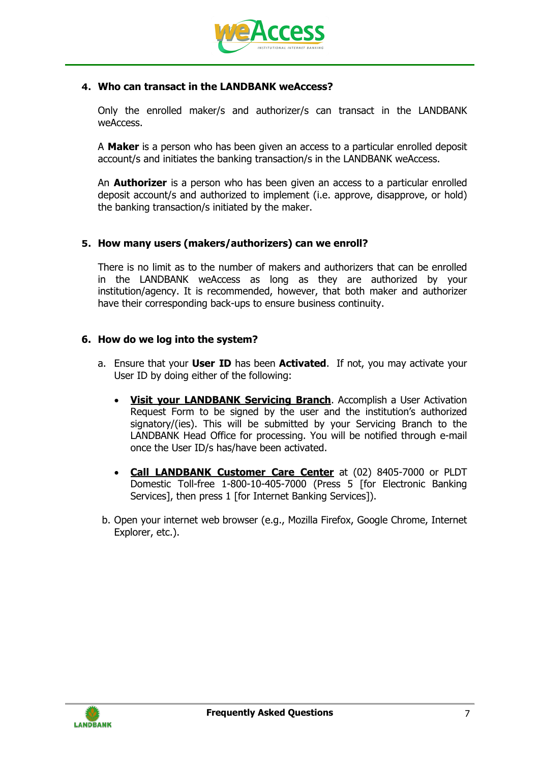

## **4. Who can transact in the LANDBANK weAccess?**

Only the enrolled maker/s and authorizer/s can transact in the LANDBANK weAccess.

A **Maker** is a person who has been given an access to a particular enrolled deposit account/s and initiates the banking transaction/s in the LANDBANK weAccess.

An **Authorizer** is a person who has been given an access to a particular enrolled deposit account/s and authorized to implement (i.e. approve, disapprove, or hold) the banking transaction/s initiated by the maker.

## **5. How many users (makers/authorizers) can we enroll?**

There is no limit as to the number of makers and authorizers that can be enrolled in the LANDBANK weAccess as long as they are authorized by your institution/agency. It is recommended, however, that both maker and authorizer have their corresponding back-ups to ensure business continuity.

## **6. How do we log into the system?**

- a. Ensure that your **User ID** has been **Activated**. If not, you may activate your User ID by doing either of the following:
	- **Visit your LANDBANK Servicing Branch**. Accomplish a User Activation Request Form to be signed by the user and the institution's authorized signatory/(ies). This will be submitted by your Servicing Branch to the LANDBANK Head Office for processing. You will be notified through e-mail once the User ID/s has/have been activated.
	- **Call LANDBANK Customer Care Center** at (02) 8405-7000 or PLDT Domestic Toll-free 1-800-10-405-7000 (Press 5 [for Electronic Banking Services], then press 1 [for Internet Banking Services]).
- b. Open your internet web browser (e.g., Mozilla Firefox, Google Chrome, Internet Explorer, etc.).

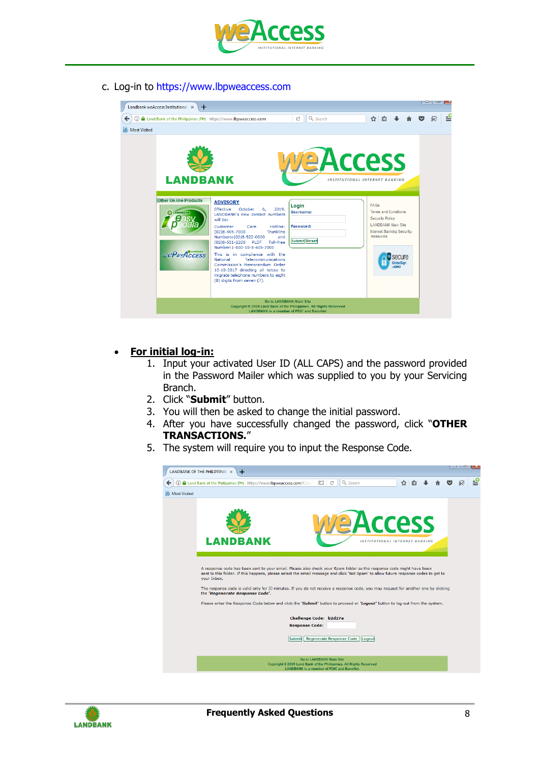

c. Log-in to https://www.lbpweaccess.com



# **For initial log-in:**

- 1. Input your activated User ID (ALL CAPS) and the password provided in the Password Mailer which was supplied to you by your Servicing Branch.
- 2. Click "**Submit**" button.
- 3. You will then be asked to change the initial password.
- 4. After you have successfully changed the password, click "**OTHER TRANSACTIONS.**"
- 5. The system will require you to input the Response Code.



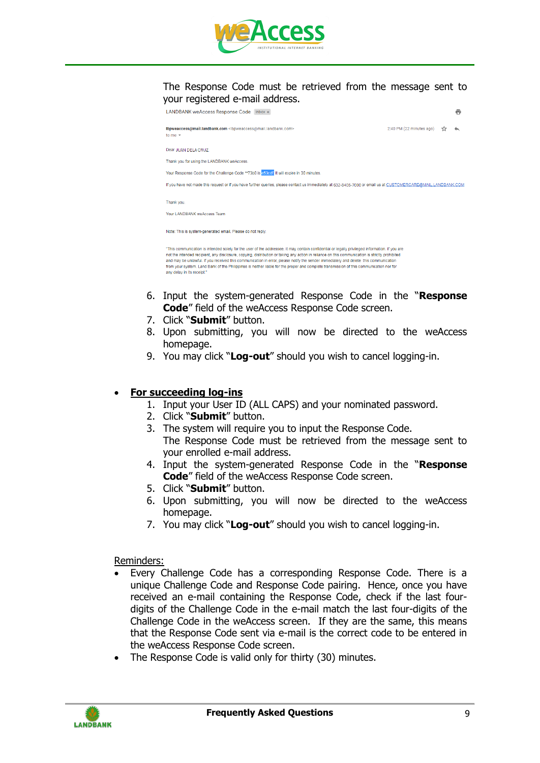

#### The Response Code must be retrieved from the message sent to your registered e-mail address.

| LANDBANK weAccess Response Code Inbox x                                                                                                                                                                                                                                                                                                                                                                                                                                                                                                                                                                             |                          | e |
|---------------------------------------------------------------------------------------------------------------------------------------------------------------------------------------------------------------------------------------------------------------------------------------------------------------------------------------------------------------------------------------------------------------------------------------------------------------------------------------------------------------------------------------------------------------------------------------------------------------------|--------------------------|---|
| Ibpweaccess@mail.landbank.com <lbpweaccess@mail.landbank.com><br/>to me <math>\sim</math></lbpweaccess@mail.landbank.com>                                                                                                                                                                                                                                                                                                                                                                                                                                                                                           | 2:40 PM (22 minutes ago) |   |
| Dear JUAN DELA CRUZ                                                                                                                                                                                                                                                                                                                                                                                                                                                                                                                                                                                                 |                          |   |
| Thank you for using the LANDBANK weAccess.                                                                                                                                                                                                                                                                                                                                                                                                                                                                                                                                                                          |                          |   |
| Your Response Code for the Challenge Code ** 73b0 is e53cdf. It will expire in 30 minutes.                                                                                                                                                                                                                                                                                                                                                                                                                                                                                                                          |                          |   |
| If you have not made this request or if you have further queries, please contact us immediately at 632-8405-7000 or email us at CUSTOMERCARE@MAIL.LANDBANK.COM                                                                                                                                                                                                                                                                                                                                                                                                                                                      |                          |   |
| Thank you.                                                                                                                                                                                                                                                                                                                                                                                                                                                                                                                                                                                                          |                          |   |
| Your LANDBANK weAccess Team                                                                                                                                                                                                                                                                                                                                                                                                                                                                                                                                                                                         |                          |   |
| Note: This is system-generated email. Please do not reply.                                                                                                                                                                                                                                                                                                                                                                                                                                                                                                                                                          |                          |   |
| "This communication is intended solely for the user of the addressee. It may contain confidential or legally privileged information. If you are<br>not the intended recipient, any disclosure, copying, distribution or taking any action in reliance on this communication is strictly prohibited<br>and may be unlawful. If you received this communication in error, please notify the sender immediately and delete this communication<br>from your system. Land Bank of the Philippines is neither liable for the proper and complete transmission of this communication nor for<br>any delay in its receipt." |                          |   |

- 6. Input the system-generated Response Code in the "**Response Code**" field of the weAccess Response Code screen.
- 7. Click "**Submit**" button.
- 8. Upon submitting, you will now be directed to the weAccess homepage.
- 9. You may click "**Log-out**" should you wish to cancel logging-in.

#### **For succeeding log-ins**

- 1. Input your User ID (ALL CAPS) and your nominated password.
- 2. Click "**Submit**" button.
- 3. The system will require you to input the Response Code. The Response Code must be retrieved from the message sent to your enrolled e-mail address.
- 4. Input the system-generated Response Code in the "**Response Code**" field of the weAccess Response Code screen.
- 5. Click "**Submit**" button.
- 6. Upon submitting, you will now be directed to the weAccess homepage.
- 7. You may click "**Log-out**" should you wish to cancel logging-in.

#### Reminders:

- Every Challenge Code has a corresponding Response Code. There is a unique Challenge Code and Response Code pairing. Hence, once you have received an e-mail containing the Response Code, check if the last fourdigits of the Challenge Code in the e-mail match the last four-digits of the Challenge Code in the weAccess screen. If they are the same, this means that the Response Code sent via e-mail is the correct code to be entered in the weAccess Response Code screen.
- The Response Code is valid only for thirty (30) minutes.

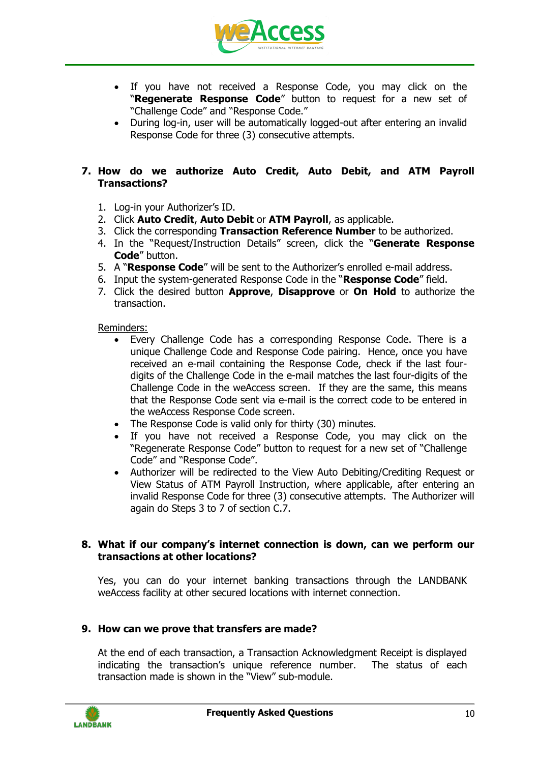

- If you have not received a Response Code, you may click on the "**Regenerate Response Code**" button to request for a new set of "Challenge Code" and "Response Code."
- During log-in, user will be automatically logged-out after entering an invalid Response Code for three (3) consecutive attempts.

# **7. How do we authorize Auto Credit, Auto Debit, and ATM Payroll Transactions?**

- 1. Log-in your Authorizer's ID.
- 2. Click **Auto Credit**, **Auto Debit** or **ATM Payroll**, as applicable.
- 3. Click the corresponding **Transaction Reference Number** to be authorized.
- 4. In the "Request/Instruction Details" screen, click the "**Generate Response Code**" button.
- 5. A "**Response Code**" will be sent to the Authorizer's enrolled e-mail address.
- 6. Input the system-generated Response Code in the "**Response Code**" field.
- 7. Click the desired button **Approve**, **Disapprove** or **On Hold** to authorize the transaction.

Reminders:

- Every Challenge Code has a corresponding Response Code. There is a unique Challenge Code and Response Code pairing. Hence, once you have received an e-mail containing the Response Code, check if the last fourdigits of the Challenge Code in the e-mail matches the last four-digits of the Challenge Code in the weAccess screen. If they are the same, this means that the Response Code sent via e-mail is the correct code to be entered in the weAccess Response Code screen.
- The Response Code is valid only for thirty (30) minutes.
- If you have not received a Response Code, you may click on the "Regenerate Response Code" button to request for a new set of "Challenge Code" and "Response Code".
- Authorizer will be redirected to the View Auto Debiting/Crediting Request or View Status of ATM Payroll Instruction, where applicable, after entering an invalid Response Code for three (3) consecutive attempts. The Authorizer will again do Steps 3 to 7 of section C.7.

#### **8. What if our company's internet connection is down, can we perform our transactions at other locations?**

Yes, you can do your internet banking transactions through the LANDBANK weAccess facility at other secured locations with internet connection.

#### **9. How can we prove that transfers are made?**

At the end of each transaction, a Transaction Acknowledgment Receipt is displayed indicating the transaction's unique reference number. The status of each transaction made is shown in the "View" sub-module.

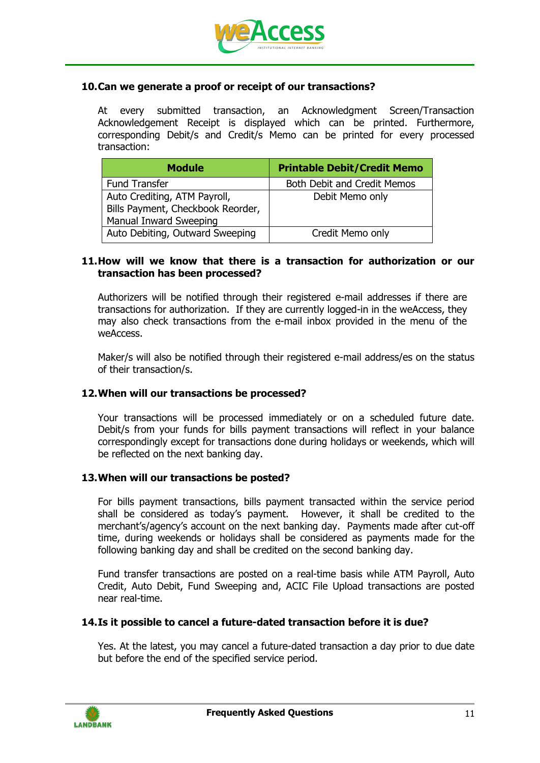

## **10.Can we generate a proof or receipt of our transactions?**

At every submitted transaction, an Acknowledgment Screen/Transaction Acknowledgement Receipt is displayed which can be printed. Furthermore, corresponding Debit/s and Credit/s Memo can be printed for every processed transaction:

| <b>Module</b>                                                                               | <b>Printable Debit/Credit Memo</b> |
|---------------------------------------------------------------------------------------------|------------------------------------|
| <b>Fund Transfer</b>                                                                        | <b>Both Debit and Credit Memos</b> |
| Auto Crediting, ATM Payroll,<br>Bills Payment, Checkbook Reorder,<br>Manual Inward Sweeping | Debit Memo only                    |
| Auto Debiting, Outward Sweeping                                                             | Credit Memo only                   |

#### **11.How will we know that there is a transaction for authorization or our transaction has been processed?**

Authorizers will be notified through their registered e-mail addresses if there are transactions for authorization. If they are currently logged-in in the weAccess, they may also check transactions from the e-mail inbox provided in the menu of the weAccess.

Maker/s will also be notified through their registered e-mail address/es on the status of their transaction/s.

#### **12.When will our transactions be processed?**

Your transactions will be processed immediately or on a scheduled future date. Debit/s from your funds for bills payment transactions will reflect in your balance correspondingly except for transactions done during holidays or weekends, which will be reflected on the next banking day.

#### **13.When will our transactions be posted?**

For bills payment transactions, bills payment transacted within the service period shall be considered as today's payment. However, it shall be credited to the merchant's/agency's account on the next banking day. Payments made after cut-off time, during weekends or holidays shall be considered as payments made for the following banking day and shall be credited on the second banking day.

Fund transfer transactions are posted on a real-time basis while ATM Payroll, Auto Credit, Auto Debit, Fund Sweeping and, ACIC File Upload transactions are posted near real-time.

#### **14.Is it possible to cancel a future-dated transaction before it is due?**

Yes. At the latest, you may cancel a future-dated transaction a day prior to due date but before the end of the specified service period.

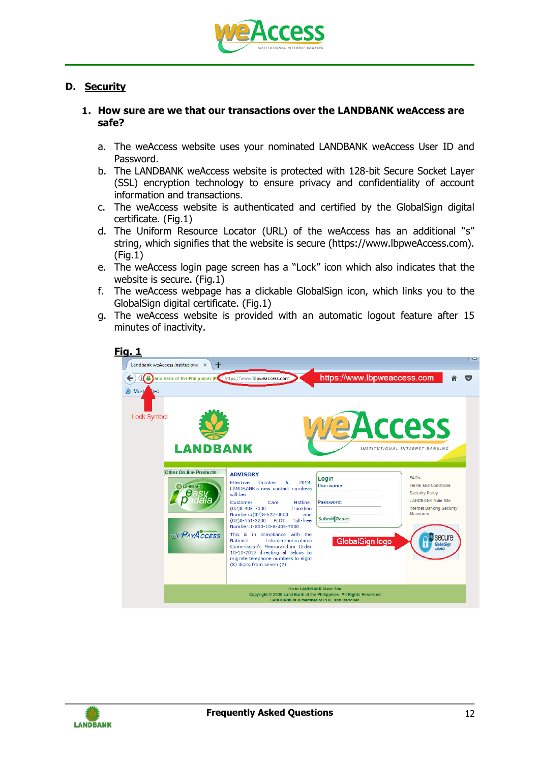

# **D. Security**

## **1. How sure are we that our transactions over the LANDBANK weAccess are safe?**

- a. The weAccess website uses your nominated LANDBANK weAccess User ID and Password.
- b. The LANDBANK weAccess website is protected with 128-bit Secure Socket Layer (SSL) encryption technology to ensure privacy and confidentiality of account information and transactions.
- c. The weAccess website is authenticated and certified by the GlobalSign digital certificate. (Fig.1)
- d. The Uniform Resource Locator (URL) of the weAccess has an additional "s" string, which signifies that the website is secure (https://www.lbpweAccess.com).  $(Fia.1)$
- e. The weAccess login page screen has a "Lock" icon which also indicates that the website is secure. (Fig.1)
- f. The weAccess webpage has a clickable GlobalSign icon, which links you to the GlobalSign digital certificate. (Fig.1)
- g. The weAccess website is provided with an automatic logout feature after 15 minutes of inactivity.



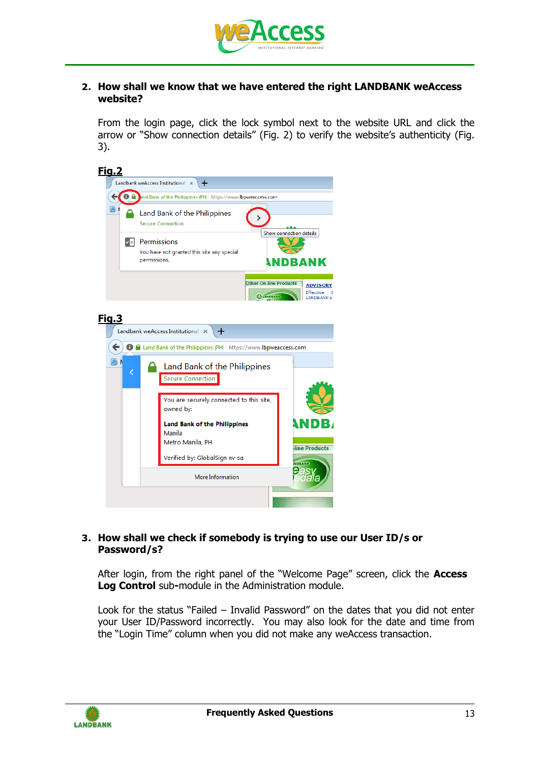

#### **2. How shall we know that we have entered the right LANDBANK weAccess website?**

From the login page, click the lock symbol next to the website URL and click the arrow or "Show connection details" (Fig. 2) to verify the website's authenticity (Fig. 3).



## **3. How shall we check if somebody is trying to use our User ID/s or Password/s?**

After login, from the right panel of the "Welcome Page" screen, click the **Access Log Control** sub**-**module in the Administration module.

Look for the status "Failed – Invalid Password" on the dates that you did not enter your User ID/Password incorrectly. You may also look for the date and time from the "Login Time" column when you did not make any weAccess transaction.

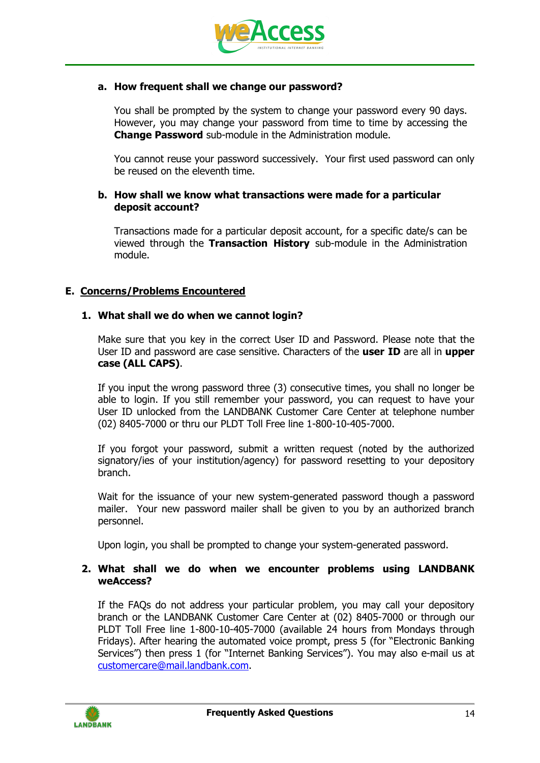

## **a. How frequent shall we change our password?**

You shall be prompted by the system to change your password every 90 days. However, you may change your password from time to time by accessing the **Change Password** sub-module in the Administration module.

You cannot reuse your password successively. Your first used password can only be reused on the eleventh time.

## **b. How shall we know what transactions were made for a particular deposit account?**

Transactions made for a particular deposit account, for a specific date/s can be viewed through the **Transaction History** sub-module in the Administration module.

# **E. Concerns/Problems Encountered**

## **1. What shall we do when we cannot login?**

Make sure that you key in the correct User ID and Password. Please note that the User ID and password are case sensitive. Characters of the **user ID** are all in **upper case (ALL CAPS)**.

If you input the wrong password three (3) consecutive times, you shall no longer be able to login. If you still remember your password, you can request to have your User ID unlocked from the LANDBANK Customer Care Center at telephone number (02) 8405-7000 or thru our PLDT Toll Free line 1-800-10-405-7000.

If you forgot your password, submit a written request (noted by the authorized signatory/ies of your institution/agency) for password resetting to your depository branch.

Wait for the issuance of your new system-generated password though a password mailer. Your new password mailer shall be given to you by an authorized branch personnel.

Upon login, you shall be prompted to change your system-generated password.

## **2. What shall we do when we encounter problems using LANDBANK weAccess?**

If the FAQs do not address your particular problem, you may call your depository branch or the LANDBANK Customer Care Center at (02) 8405-7000 or through our PLDT Toll Free line 1-800-10-405-7000 (available 24 hours from Mondays through Fridays). After hearing the automated voice prompt, press 5 (for "Electronic Banking Services") then press 1 (for "Internet Banking Services"). You may also e-mail us at [customercare@mail.landbank.com.](mailto:lbpweaccess@mail.landbank.com)